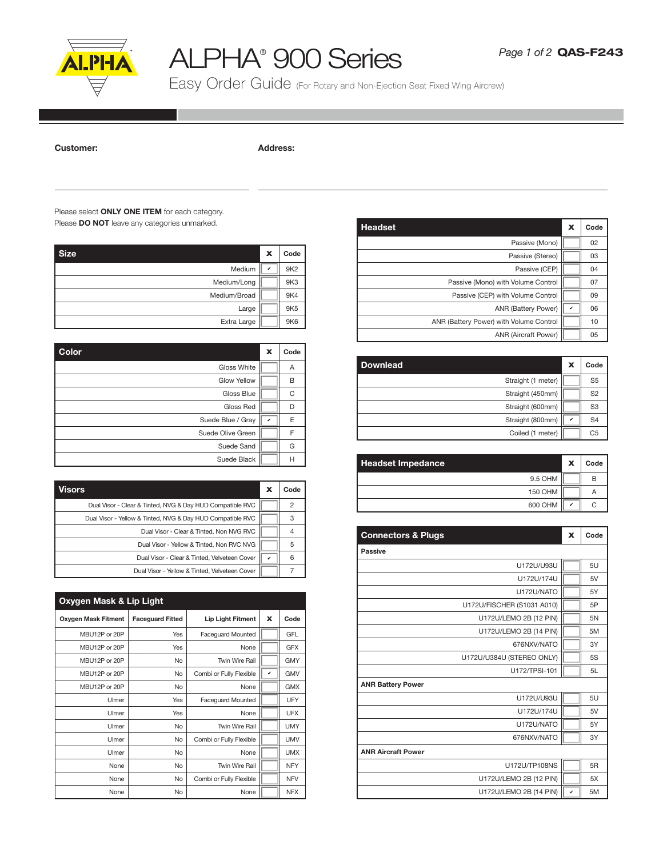

## ALPHA® 900 Series

Easy Order Guide (For Rotary and Non-Ejection Seat Fixed Wing Aircrew)

## Customer: Address:

## Please select **ONLY ONE ITEM** for each category. Please **DO NOT** leave any categories unmarked.

| <b>Size</b>  | $\boldsymbol{\mathsf{x}}$ | Code            |
|--------------|---------------------------|-----------------|
| Medium       | v                         | 9K <sub>2</sub> |
| Medium/Long  |                           | 9K3             |
| Medium/Broad |                           | 9K4             |
| Large        |                           | 9K <sub>5</sub> |
| Extra Large  |                           | 9K6             |

| Color              | $\boldsymbol{\mathsf{x}}$ | Code |
|--------------------|---------------------------|------|
| <b>Gloss White</b> |                           | Α    |
| <b>Glow Yellow</b> |                           | B    |
| Gloss Blue         |                           | C    |
| Gloss Red          |                           | D    |
| Suede Blue / Gray  | v                         | E    |
| Suede Olive Green  |                           | F    |
| Suede Sand         |                           | G    |
| Suede Black        |                           | н    |

| Visors                                                     | х            | Code |
|------------------------------------------------------------|--------------|------|
| Dual Visor - Clear & Tinted, NVG & Day HUD Compatible RVC  |              |      |
| Dual Visor - Yellow & Tinted, NVG & Day HUD Compatible RVC |              |      |
| Dual Visor - Clear & Tinted, Non NVG RVC                   |              |      |
| Dual Visor - Yellow & Tinted, Non RVC NVG                  |              | 5    |
| Dual Visor - Clear & Tinted, Velveteen Cover               | $\checkmark$ | հ    |
| Dual Visor - Yellow & Tinted, Velveteen Cover              |              |      |

| Oxygen Mask & Lip Light    |                         |                          |             |            |
|----------------------------|-------------------------|--------------------------|-------------|------------|
| <b>Oxygen Mask Fitment</b> | <b>Faceguard Fitted</b> | <b>Lip Light Fitment</b> | $\mathbf x$ | Code       |
| MBU12P or 20P              | Yes                     | <b>Faceguard Mounted</b> |             | GFL        |
| MBU12P or 20P              | Yes                     | None                     |             | <b>GFX</b> |
| MBU12P or 20P              | No                      | Twin Wire Rail           |             | <b>GMY</b> |
| MBU12P or 20P              | No                      | Combi or Fully Flexible  | v           | <b>GMV</b> |
| MBU12P or 20P              | No                      | None                     |             | <b>GMX</b> |
| Ulmer                      | Yes                     | <b>Faceguard Mounted</b> |             | UFY        |
| Ulmer                      | Yes                     | None                     |             | <b>UFX</b> |
| Ulmer                      | No                      | Twin Wire Rail           |             | <b>UMY</b> |
| Ulmer                      | No                      | Combi or Fully Flexible  |             | <b>UMV</b> |
| Ulmer                      | No                      | None                     |             | <b>UMX</b> |
| None                       | No                      | Twin Wire Rail           |             | <b>NFY</b> |
| None                       | No                      | Combi or Fully Flexible  |             | <b>NFV</b> |
| None                       | No                      | None                     |             | <b>NFX</b> |

| <b>Headset</b>                          | x | Code           |
|-----------------------------------------|---|----------------|
| Passive (Mono)                          |   | 02             |
| Passive (Stereo)                        |   | 03             |
| Passive (CEP)                           |   | 04             |
| Passive (Mono) with Volume Control      |   | 07             |
| Passive (CEP) with Volume Control       |   | 09             |
| ANR (Battery Power)                     | v | 06             |
| ANR (Battery Power) with Volume Control |   | 10             |
| ANR (Aircraft Power)                    |   | 0 <sub>5</sub> |

| A |                    | х               | Code           |
|---|--------------------|-----------------|----------------|
| B | Straight (1 meter) |                 | S <sub>5</sub> |
| С | Straight (450mm)   |                 | S <sub>2</sub> |
|   | Straight (600mm)   |                 | S <sub>3</sub> |
|   | Straight (800mm)   | v               | S <sub>4</sub> |
|   | Coiled (1 meter)   |                 | C5             |
|   |                    | <b>Downlead</b> |                |

| <b>Headset Impedance</b> | X | Code |
|--------------------------|---|------|
| 9.5 OHM                  |   | B    |
| <b>150 OHM</b>           |   |      |
| 600 OHM                  | ✓ |      |

| <b>Connectors &amp; Plugs</b> | x | Code |
|-------------------------------|---|------|
| <b>Passive</b>                |   |      |
| U172U/U93U                    |   | 5U   |
| U172U/174U                    |   | 5V   |
| U172U/NATO                    |   | 5Y   |
| U172U/FISCHER (S1031 A010)    |   | 5P   |
| U172U/LEMO 2B (12 PIN)        |   | 5N   |
| U172U/LEMO 2B (14 PIN)        |   | 5M   |
| 676NXV/NATO                   |   | 3Y   |
| U172U/U384U (STEREO ONLY)     |   | 5S   |
| U172/TPSI-101                 |   | 5L   |
| <b>ANR Battery Power</b>      |   |      |
| U172U/U93U                    |   | 5U   |
| U172U/174U                    |   | 5V   |
| U172U/NATO                    |   | 5Y   |
| 676NXV/NATO                   |   | 3Y   |
| <b>ANR Aircraft Power</b>     |   |      |
| U172U/TP108NS                 |   | 5R   |
| U172U/LEMO 2B (12 PIN)        |   | 5X   |
| U172U/LEMO 2B (14 PIN)        | v | 5M   |